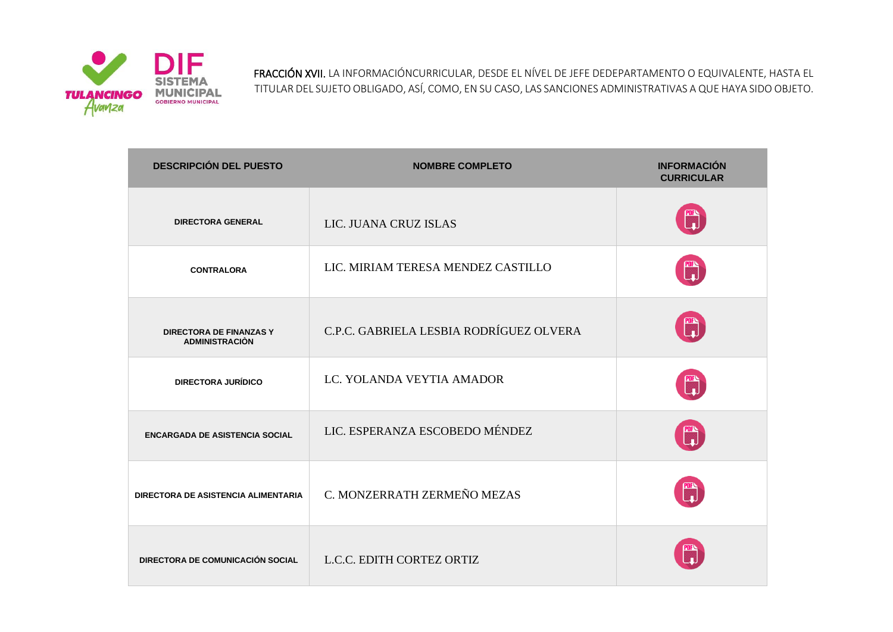

FRACCIÓN XVII. LA INFORMACIÓNCURRICULAR, DESDE EL NÍVEL DE JEFE DEDEPARTAMENTO O EQUIVALENTE, HASTA EL TITULAR DEL SUJETO OBLIGADO, ASÍ, COMO, EN SU CASO, LAS SANCIONES ADMINISTRATIVAS A QUE HAYA SIDO OBJETO.

| <b>DESCRIPCIÓN DEL PUESTO</b>                           | <b>NOMBRE COMPLETO</b>                  | <b>INFORMACIÓN</b><br><b>CURRICULAR</b> |
|---------------------------------------------------------|-----------------------------------------|-----------------------------------------|
| <b>DIRECTORA GENERAL</b>                                | LIC. JUANA CRUZ ISLAS                   |                                         |
| <b>CONTRALORA</b>                                       | LIC. MIRIAM TERESA MENDEZ CASTILLO      | T)                                      |
| <b>DIRECTORA DE FINANZAS Y</b><br><b>ADMINISTRACIÓN</b> | C.P.C. GABRIELA LESBIA RODRÍGUEZ OLVERA | <b>四、</b>                               |
| <b>DIRECTORA JURÍDICO</b>                               | LC. YOLANDA VEYTIA AMADOR               |                                         |
| <b>ENCARGADA DE ASISTENCIA SOCIAL</b>                   | LIC. ESPERANZA ESCOBEDO MÉNDEZ          |                                         |
| DIRECTORA DE ASISTENCIA ALIMENTARIA                     | C. MONZERRATH ZERMEÑO MEZAS             | <b>PDFS</b>                             |
| DIRECTORA DE COMUNICACIÓN SOCIAL                        | L.C.C. EDITH CORTEZ ORTIZ               |                                         |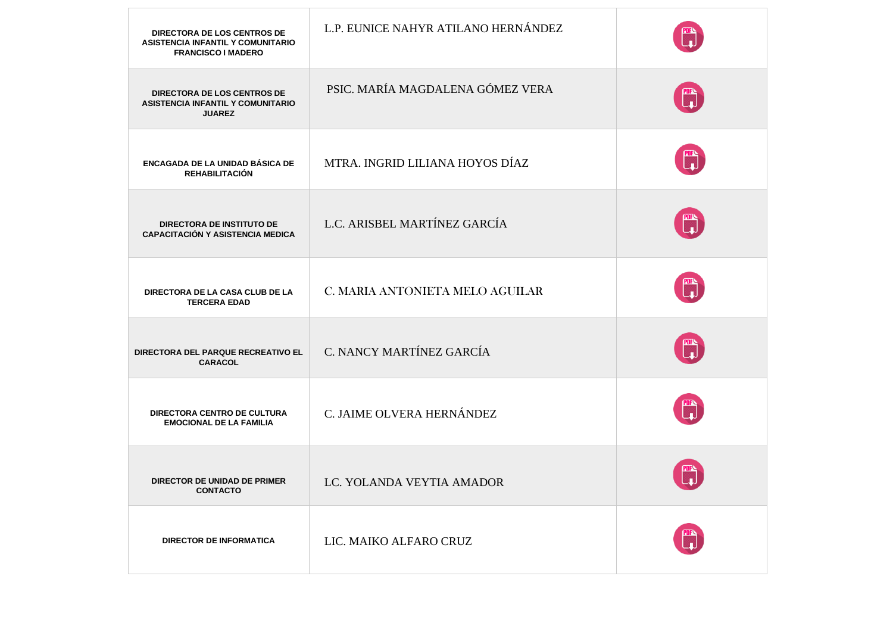| <b>DIRECTORA DE LOS CENTROS DE</b><br><b>ASISTENCIA INFANTIL Y COMUNITARIO</b><br><b>FRANCISCO I MADERO</b> | L.P. EUNICE NAHYR ATILANO HERNÁNDEZ |            |
|-------------------------------------------------------------------------------------------------------------|-------------------------------------|------------|
| <b>DIRECTORA DE LOS CENTROS DE</b><br><b>ASISTENCIA INFANTIL Y COMUNITARIO</b><br><b>JUAREZ</b>             | PSIC. MARÍA MAGDALENA GÓMEZ VERA    |            |
| ENCAGADA DE LA UNIDAD BÁSICA DE<br><b>REHABILITACIÓN</b>                                                    | MTRA. INGRID LILIANA HOYOS DÍAZ     | ™          |
| <b>DIRECTORA DE INSTITUTO DE</b><br><b>CAPACITACIÓN Y ASISTENCIA MEDICA</b>                                 | L.C. ARISBEL MARTÍNEZ GARCÍA        | PDF        |
| DIRECTORA DE LA CASA CLUB DE LA<br><b>TERCERA EDAD</b>                                                      | C. MARIA ANTONIETA MELO AGUILAR     | PDFS<br> - |
| DIRECTORA DEL PARQUE RECREATIVO EL<br><b>CARACOL</b>                                                        | C. NANCY MARTÍNEZ GARCÍA            |            |
| <b>DIRECTORA CENTRO DE CULTURA</b><br><b>EMOCIONAL DE LA FAMILIA</b>                                        | C. JAIME OLVERA HERNÁNDEZ           |            |
| DIRECTOR DE UNIDAD DE PRIMER<br><b>CONTACTO</b>                                                             | LC. YOLANDA VEYTIA AMADOR           |            |
| <b>DIRECTOR DE INFORMATICA</b>                                                                              | LIC. MAIKO ALFARO CRUZ              |            |